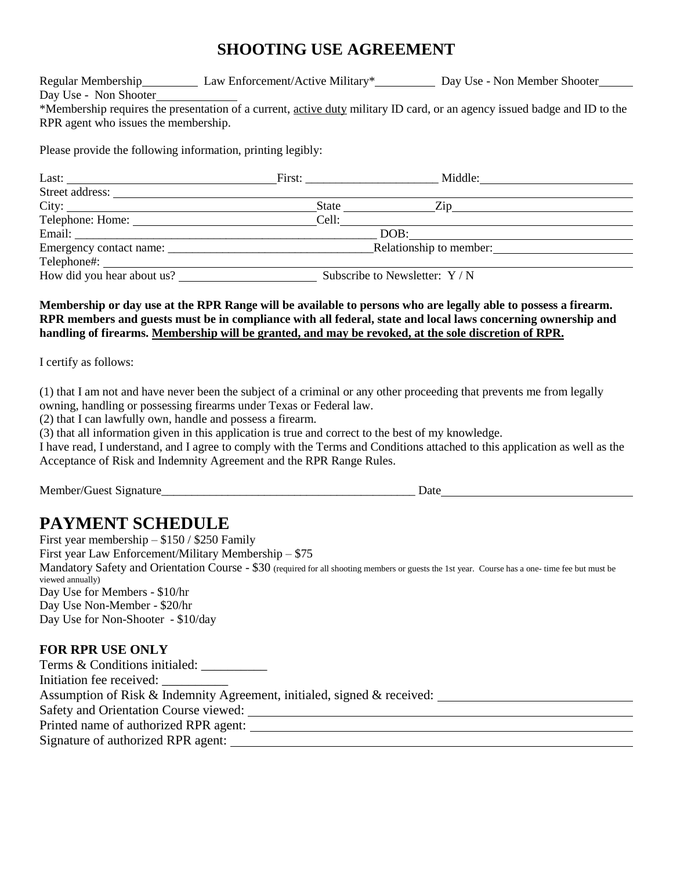## **SHOOTING USE AGREEMENT**

Regular Membership Law Enforcement/Active Military\* Day Use - Non Member Shooter Day Use - Non Shooter \*Membership requires the presentation of a current, active duty military ID card, or an agency issued badge and ID to the RPR agent who issues the membership.

Please provide the following information, printing legibly:

| Last: $\qquad \qquad$          | First:                                                                                                                                                                                                                              | Middle:                                                                                                                                                                                                                        |  |
|--------------------------------|-------------------------------------------------------------------------------------------------------------------------------------------------------------------------------------------------------------------------------------|--------------------------------------------------------------------------------------------------------------------------------------------------------------------------------------------------------------------------------|--|
| Street address:                |                                                                                                                                                                                                                                     |                                                                                                                                                                                                                                |  |
|                                | <b>State</b> State State State State State State State State State State State State State State State State State State State State State State State State State State State State State State State State State State State Stat | Zip and the same state of the state of the state of the state of the state of the state of the state of the state of the state of the state of the state of the state of the state of the state of the state of the state of t |  |
| Telephone: Home: New York 1999 | Cell:                                                                                                                                                                                                                               |                                                                                                                                                                                                                                |  |
|                                | DOB:                                                                                                                                                                                                                                |                                                                                                                                                                                                                                |  |
|                                | Relationship to member:                                                                                                                                                                                                             |                                                                                                                                                                                                                                |  |
|                                |                                                                                                                                                                                                                                     |                                                                                                                                                                                                                                |  |
| How did you hear about us?     | Subscribe to Newsletter: Y / N                                                                                                                                                                                                      |                                                                                                                                                                                                                                |  |

**Membership or day use at the RPR Range will be available to persons who are legally able to possess a firearm. RPR members and guests must be in compliance with all federal, state and local laws concerning ownership and handling of firearms. Membership will be granted, and may be revoked, at the sole discretion of RPR.** 

I certify as follows:

(1) that I am not and have never been the subject of a criminal or any other proceeding that prevents me from legally owning, handling or possessing firearms under Texas or Federal law.

(2) that I can lawfully own, handle and possess a firearm.

(3) that all information given in this application is true and correct to the best of my knowledge.

I have read, I understand, and I agree to comply with the Terms and Conditions attached to this application as well as the Acceptance of Risk and Indemnity Agreement and the RPR Range Rules.

Member/Guest Signature\_\_\_\_\_\_\_\_\_\_\_\_\_\_\_\_\_\_\_\_\_\_\_\_\_\_\_\_\_\_\_\_\_\_\_\_\_\_\_\_\_\_ Date

## **PAYMENT SCHEDULE**

First year membership – \$150 / \$250 Family First year Law Enforcement/Military Membership – \$75 Mandatory Safety and Orientation Course - \$30 (required for all shooting members or guests the 1st year. Course has a one- time fee but must be viewed annually) Day Use for Members - \$10/hr Day Use Non-Member - \$20/hr Day Use for Non-Shooter - \$10/day

## **FOR RPR USE ONLY**

| Terms & Conditions initialed:                                           |  |
|-------------------------------------------------------------------------|--|
| Initiation fee received:                                                |  |
| Assumption of Risk & Indemnity Agreement, initialed, signed & received: |  |
| Safety and Orientation Course viewed:                                   |  |
| Printed name of authorized RPR agent:                                   |  |
| Signature of authorized RPR agent:                                      |  |